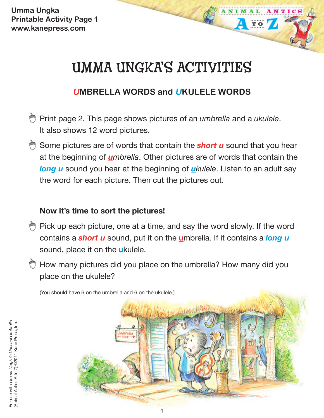**Umma Ungka Printable Activity Page 1 www.kanepress.com**

# UMMA UNGKA'S ACTIVITIES

TO

## **UMBRELLA WORDS and UKULELE WORDS**

- Print page 2. This page shows pictures of an *umbrella* and a *ukulele*. It also shows 12 word pictures.
- Some pictures are of words that contain the **short u** sound that you hear at the beginning of *umbrella*. Other pictures are of words that contain the *long u* sound you hear at the beginning of *ukulele*. Listen to an adult say the word for each picture. Then cut the pictures out.

### **Now it's time to sort the pictures!**

- Pick up each picture, one at a time, and say the word slowly. If the word contains a *short u* sound, put it on the **u**mbrella. If it contains a *long u* sound, place it on the **u**kulele.
- How many pictures did you place on the umbrella? How many did you place on the ukulele?

(You should have 6 on the umbrella and 6 on the ukulele.)

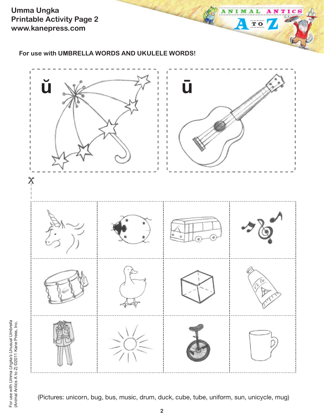**Umma Ungka Printable Activity Page 2 www.kanepress.com**

**For use with UMBRELLA WORDS AND UKULELE WORDS!**



 $T$  O

 $\overline{\mathbf{A}}$ 

For use with Umma Ungka's Unusual Umbrella<br>(Animal Antics A to Z) ©2011 Kane Press, Inc. For use with *Umma Ungka's Unusual Umbrella* (Animal Antics A to Z) ©2011 Kane Press, Inc.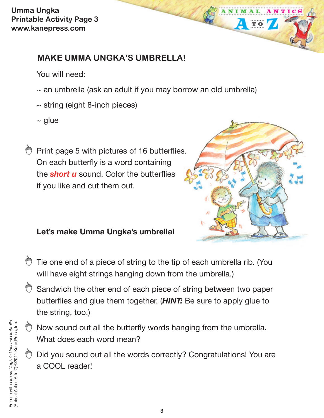**Umma Ungka Printable Activity Page 3 www.kanepress.com**

## **MAKE UMMA UNGKA'S UMBRELLA!**

You will need:

- $\sim$  an umbrella (ask an adult if you may borrow an old umbrella)
- ~ string (eight 8-inch pieces)
- $~\sim$  glue

Print page 5 with pictures of 16 butterflies. On each butterfly is a word containing the *short u* sound. Color the butterflies if you like and cut them out.



**TO** 

#### **Let's make Umma Ungka's umbrella!**

- Tie one end of a piece of string to the tip of each umbrella rib. (You will have eight strings hanging down from the umbrella.)
- Sandwich the other end of each piece of string between two paper butterflies and glue them together. (*HINT:* Be sure to apply glue to the string, too.)
- Now sound out all the butterfly words hanging from the umbrella. What does each word mean?
- Did you sound out all the words correctly? Congratulations! You are a COOL reader!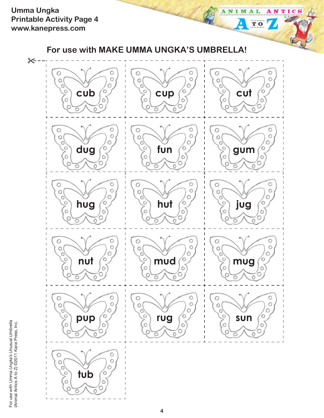**Umma Ungka Printable Activity Page 4 www.kanepress.com**



ANTICS

ANIMAL

 $\overline{\mathbf{A}}$ 

 $TQ$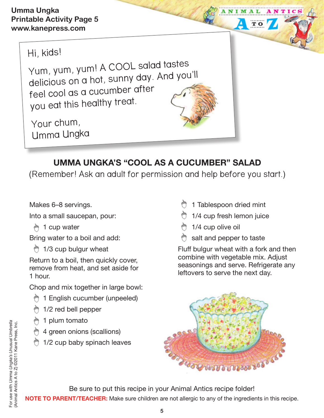Hi, kids!

Yum, yum, yum! A COOL salad tastes delicious on a hot, sunny day. And you'll feel cool as a cucumber after you eat this healthy treat.

Your chum, Umma Ungka

# **UMMA UNGKA'S "COOL AS A CUCUMBER" SALAD**

(Remember! Ask an adult for permission and help before you start.)

Makes 6–8 servings.

Into a small saucepan, pour:

↑ 1 cup water

Bring water to a boil and add:

**1/3 cup bulgur wheat** 

Return to a boil, then quickly cover, remove from heat, and set aside for 1 hour.

Chop and mix together in large bowl:

- **う 1 English cucumber (unpeeled)**
- 1/2 red bell pepper
- 1 plum tomato
- 4 green onions (scallions)
- **1/2 cup baby spinach leaves**
- **1** Tablespoon dried mint
- $\bigcirc$  1/4 cup fresh lemon juice
- 1/4 cup olive oil
- salt and pepper to taste

Fluff bulgur wheat with a fork and then combine with vegetable mix. Adjust seasonings and serve. Refrigerate any leftovers to serve the next day.

TO



Be sure to put this recipe in your Animal Antics recipe folder!

**NOTE TO PARENT/TEACHER:** Make sure children are not allergic to any of the ingredients in this recipe.